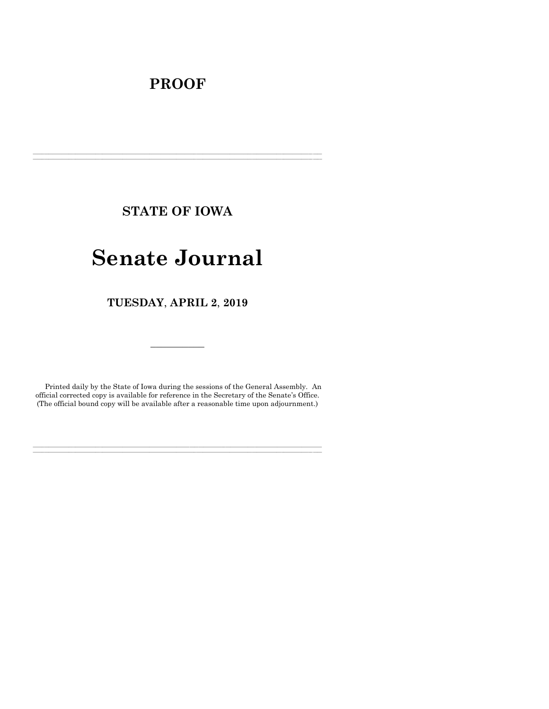# **PROOF**

**STATE OF IOWA**

**\_\_\_\_\_\_\_\_\_\_\_\_\_\_\_\_\_\_\_\_\_\_\_\_\_\_\_\_\_\_\_\_\_\_\_\_\_\_\_\_\_\_\_\_\_\_\_\_\_\_\_\_\_\_\_\_\_\_\_\_\_\_\_\_\_\_\_\_\_\_\_\_\_\_\_\_\_\_\_\_\_\_\_\_\_\_\_\_\_\_\_\_\_\_\_\_\_\_\_\_\_\_\_\_\_\_\_\_\_\_\_\_\_\_\_\_\_\_\_\_\_\_\_\_\_\_\_\_\_ \_\_\_\_\_\_\_\_\_\_\_\_\_\_\_\_\_\_\_\_\_\_\_\_\_\_\_\_\_\_\_\_\_\_\_\_\_\_\_\_\_\_\_\_\_\_\_\_\_\_\_\_\_\_\_\_\_\_\_\_\_\_\_\_\_\_\_\_\_\_\_\_\_\_\_\_\_\_\_\_\_\_\_\_\_\_\_\_\_\_\_\_\_\_\_\_\_\_\_\_\_\_\_\_\_\_\_\_\_\_\_\_\_\_\_\_\_\_\_\_\_\_\_\_\_\_\_\_\_**

# **Senate Journal**

**TUESDAY**, **APRIL 2**, **2019**

Printed daily by the State of Iowa during the sessions of the General Assembly. An official corrected copy is available for reference in the Secretary of the Senate's Office. (The official bound copy will be available after a reasonable time upon adjournment.)

**\_\_\_\_\_\_\_\_\_\_\_\_\_\_\_\_\_\_\_\_\_\_\_\_\_\_\_\_\_\_\_\_\_\_\_\_\_\_\_\_\_\_\_\_\_\_\_\_\_\_\_\_\_\_\_\_\_\_\_\_\_\_\_\_\_\_\_\_\_\_\_\_\_\_\_\_\_\_\_\_\_\_\_\_\_\_\_\_\_\_\_\_\_\_\_\_\_\_\_\_\_\_\_\_\_\_\_\_\_\_\_\_\_\_\_\_\_\_\_\_\_\_\_\_\_\_\_\_\_ \_\_\_\_\_\_\_\_\_\_\_\_\_\_\_\_\_\_\_\_\_\_\_\_\_\_\_\_\_\_\_\_\_\_\_\_\_\_\_\_\_\_\_\_\_\_\_\_\_\_\_\_\_\_\_\_\_\_\_\_\_\_\_\_\_\_\_\_\_\_\_\_\_\_\_\_\_\_\_\_\_\_\_\_\_\_\_\_\_\_\_\_\_\_\_\_\_\_\_\_\_\_\_\_\_\_\_\_\_\_\_\_\_\_\_\_\_\_\_\_\_\_\_\_\_\_\_\_\_**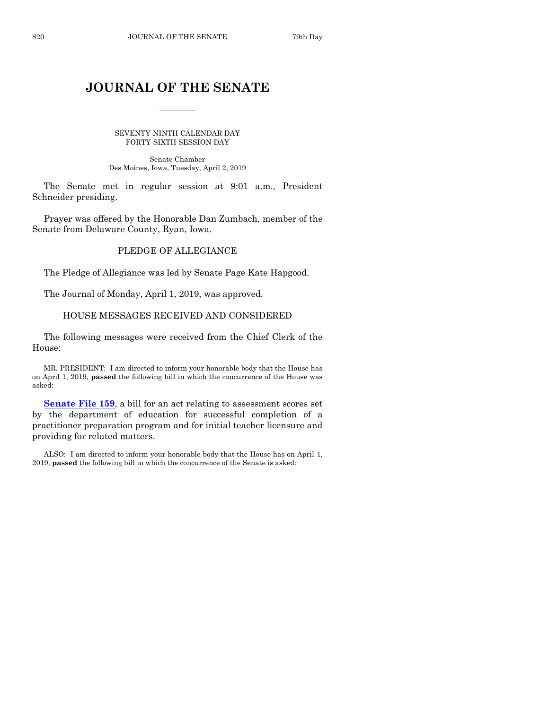## **JOURNAL OF THE SENATE**

 $\overline{\phantom{a}}$ 

SEVENTY-NINTH CALENDAR DAY FORTY-SIXTH SESSION DAY

Senate Chamber Des Moines, Iowa, Tuesday, April 2, 2019

The Senate met in regular session at 9:01 a.m., President Schneider presiding.

Prayer was offered by the Honorable Dan Zumbach, member of the Senate from Delaware County, Ryan, Iowa.

## PLEDGE OF ALLEGIANCE

The Pledge of Allegiance was led by Senate Page Kate Hapgood.

The Journal of Monday, April 1, 2019, was approved.

## HOUSE MESSAGES RECEIVED AND CONSIDERED

The following messages were received from the Chief Clerk of the House:

MR. PRESIDENT: I am directed to inform your honorable body that the House has on April 1, 2019, **passed** the following bill in which the concurrence of the House was asked:

**[Senate File 159](https://www.legis.iowa.gov/legislation/BillBook?ga=88&ba=SF159)**, a bill for an act relating to assessment scores set by the department of education for successful completion of a practitioner preparation program and for initial teacher licensure and providing for related matters.

ALSO: I am directed to inform your honorable body that the House has on April 1, 2019, **passed** the following bill in which the concurrence of the Senate is asked: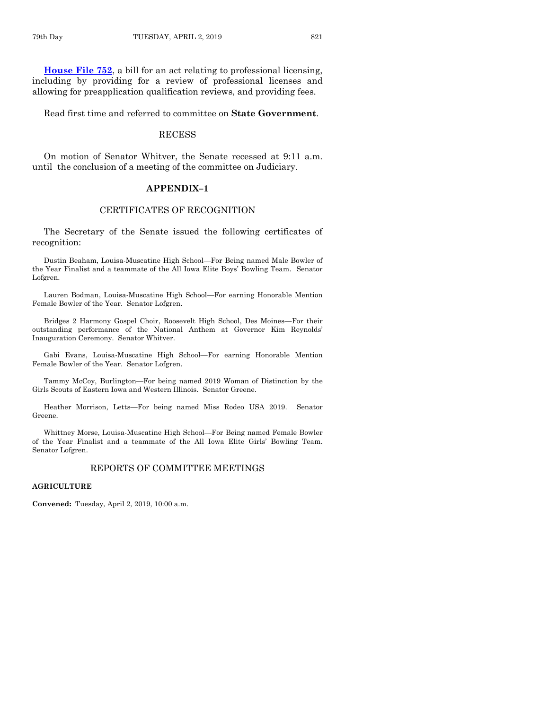**[House File 752](https://www.legis.iowa.gov/legislation/BillBook?ga=88&ba=HF752)**, a bill for an act relating to professional licensing, including by providing for a review of professional licenses and allowing for preapplication qualification reviews, and providing fees.

Read first time and referred to committee on **State Government**.

## **RECESS**

On motion of Senator Whitver, the Senate recessed at 9:11 a.m. until the conclusion of a meeting of the committee on Judiciary.

## **APPENDIX–1**

## CERTIFICATES OF RECOGNITION

The Secretary of the Senate issued the following certificates of recognition:

Dustin Beaham, Louisa-Muscatine High School—For Being named Male Bowler of the Year Finalist and a teammate of the All Iowa Elite Boys' Bowling Team. Senator Lofgren.

Lauren Bodman, Louisa-Muscatine High School—For earning Honorable Mention Female Bowler of the Year. Senator Lofgren.

Bridges 2 Harmony Gospel Choir, Roosevelt High School, Des Moines—For their outstanding performance of the National Anthem at Governor Kim Reynolds' Inauguration Ceremony. Senator Whitver.

Gabi Evans, Louisa-Muscatine High School—For earning Honorable Mention Female Bowler of the Year. Senator Lofgren.

Tammy McCoy, Burlington—For being named 2019 Woman of Distinction by the Girls Scouts of Eastern Iowa and Western Illinois. Senator Greene.

Heather Morrison, Letts—For being named Miss Rodeo USA 2019. Senator Greene.

Whittney Morse, Louisa-Muscatine High School—For Being named Female Bowler of the Year Finalist and a teammate of the All Iowa Elite Girls' Bowling Team. Senator Lofgren.

## REPORTS OF COMMITTEE MEETINGS

## **AGRICULTURE**

**Convened:** Tuesday, April 2, 2019, 10:00 a.m.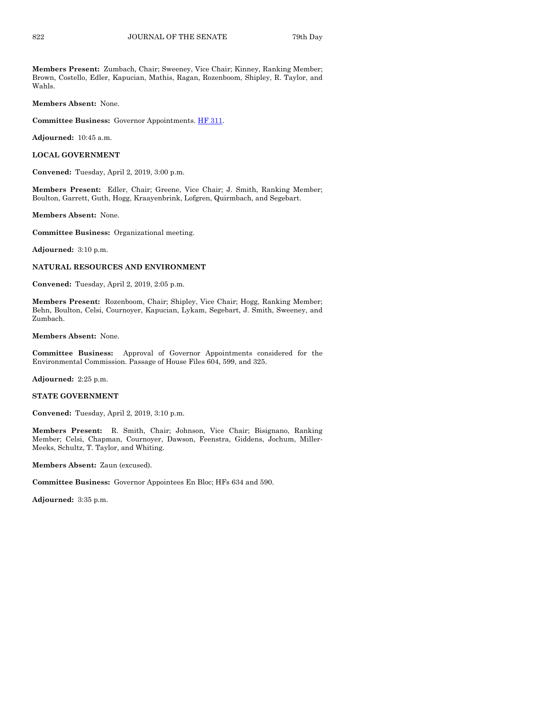**Members Present:** Zumbach, Chair; Sweeney, Vice Chair; Kinney, Ranking Member; Brown, Costello, Edler, Kapucian, Mathis, Ragan, Rozenboom, Shipley, R. Taylor, and Wahls.

**Members Absent:** None.

**Committee Business:** Governor Appointments[. HF 311.](https://www.legis.iowa.gov/legislation/BillBook?ga=88&ba=HF311)

**Adjourned:** 10:45 a.m.

**LOCAL GOVERNMENT**

**Convened:** Tuesday, April 2, 2019, 3:00 p.m.

**Members Present:** Edler, Chair; Greene, Vice Chair; J. Smith, Ranking Member; Boulton, Garrett, Guth, Hogg, Kraayenbrink, Lofgren, Quirmbach, and Segebart.

**Members Absent:** None.

**Committee Business:** Organizational meeting.

**Adjourned:** 3:10 p.m.

## **NATURAL RESOURCES AND ENVIRONMENT**

**Convened:** Tuesday, April 2, 2019, 2:05 p.m.

**Members Present:** Rozenboom, Chair; Shipley, Vice Chair; Hogg, Ranking Member; Behn, Boulton, Celsi, Cournoyer, Kapucian, Lykam, Segebart, J. Smith, Sweeney, and Zumbach.

**Members Absent:** None.

**Committee Business:** Approval of Governor Appointments considered for the Environmental Commission. Passage of House Files 604, 599, and 325.

**Adjourned:** 2:25 p.m.

#### **STATE GOVERNMENT**

**Convened:** Tuesday, April 2, 2019, 3:10 p.m.

**Members Present:** R. Smith, Chair; Johnson, Vice Chair; Bisignano, Ranking Member; Celsi, Chapman, Cournoyer, Dawson, Feenstra, Giddens, Jochum, Miller-Meeks, Schultz, T. Taylor, and Whiting.

**Members Absent:** Zaun (excused).

**Committee Business:** Governor Appointees En Bloc; HFs 634 and 590.

**Adjourned:** 3:35 p.m.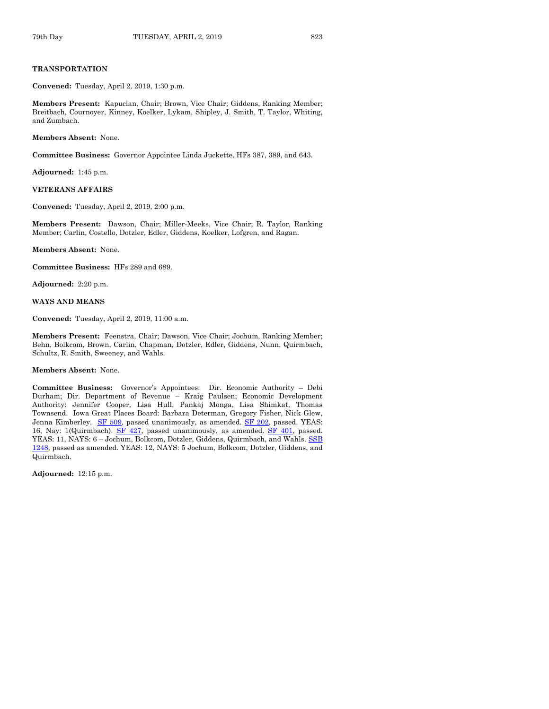## **TRANSPORTATION**

**Convened:** Tuesday, April 2, 2019, 1:30 p.m.

**Members Present:** Kapucian, Chair; Brown, Vice Chair; Giddens, Ranking Member; Breitbach, Cournoyer, Kinney, Koelker, Lykam, Shipley, J. Smith, T. Taylor, Whiting, and Zumbach.

**Members Absent:** None.

**Committee Business:** Governor Appointee Linda Juckette. HFs 387, 389, and 643.

**Adjourned:** 1:45 p.m.

## **VETERANS AFFAIRS**

**Convened:** Tuesday, April 2, 2019, 2:00 p.m.

**Members Present:** Dawson, Chair; Miller-Meeks, Vice Chair; R. Taylor, Ranking Member; Carlin, Costello, Dotzler, Edler, Giddens, Koelker, Lofgren, and Ragan.

**Members Absent:** None.

**Committee Business:** HFs 289 and 689.

**Adjourned:** 2:20 p.m.

**WAYS AND MEANS**

**Convened:** Tuesday, April 2, 2019, 11:00 a.m.

**Members Present:** Feenstra, Chair; Dawson, Vice Chair; Jochum, Ranking Member; Behn, Bolkcom, Brown, Carlin, Chapman, Dotzler, Edler, Giddens, Nunn, Quirmbach, Schultz, R. Smith, Sweeney, and Wahls.

**Members Absent:** None.

**Committee Business:** Governor's Appointees: Dir. Economic Authority – Debi Durham; Dir. Department of Revenue – Kraig Paulsen; Economic Development Authority: Jennifer Cooper, Lisa Hull, Pankaj Monga, Lisa Shimkat, Thomas Townsend. Iowa Great Places Board: Barbara Determan, Gregory Fisher, Nick Glew, Jenna Kimberley. [SF 509,](https://www.legis.iowa.gov/legislation/BillBook?ga=88&ba=SF509) passed unanimously, as amended. SF [202,](https://www.legis.iowa.gov/legislation/BillBook?ga=88&ba=SF202) passed. YEAS: 16, Nay: 1(Quirmbach). [SF 427,](https://www.legis.iowa.gov/legislation/BillBook?ga=88&ba=SF427) passed unanimously, as amended. [SF 401,](https://www.legis.iowa.gov/legislation/BillBook?ga=88&ba=SF401) passed. YEAS: 11, NAYS: 6 – Jochum, Bolkcom, Dotzler, Giddens, Quirmbach, and Wahls. [SSB](https://www.legis.iowa.gov/legislation/BillBook?ga=88&ba=SSB1248)  [1248,](https://www.legis.iowa.gov/legislation/BillBook?ga=88&ba=SSB1248) passed as amended. YEAS: 12, NAYS: 5 Jochum, Bolkcom, Dotzler, Giddens, and Quirmbach.

**Adjourned:** 12:15 p.m.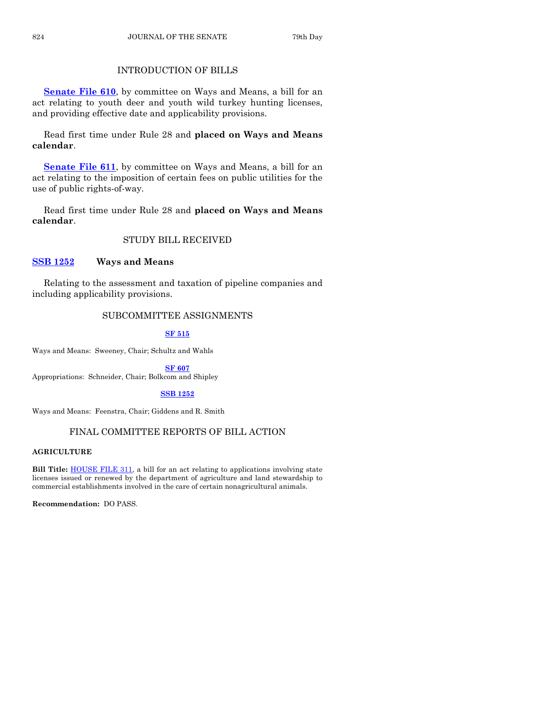## INTRODUCTION OF BILLS

**[Senate File 610](https://www.legis.iowa.gov/legislation/BillBook?ga=88&ba=SF610)**, by committee on Ways and Means, a bill for an act relating to youth deer and youth wild turkey hunting licenses, and providing effective date and applicability provisions.

Read first time under Rule 28 and **placed on Ways and Means calendar**.

**[Senate File 611](https://www.legis.iowa.gov/legislation/BillBook?ga=88&ba=SF611)**, by committee on Ways and Means, a bill for an act relating to the imposition of certain fees on public utilities for the use of public rights-of-way.

Read first time under Rule 28 and **placed on Ways and Means calendar**.

## STUDY BILL RECEIVED

## **[SSB 1252](https://www.legis.iowa.gov/legislation/BillBook?ga=88&ba=SSB1252) Ways and Means**

Relating to the assessment and taxation of pipeline companies and including applicability provisions.

## SUBCOMMITTEE ASSIGNMENTS

## **[SF 515](https://www.legis.iowa.gov/legislation/BillBook?ga=88&ba=SF515)**

Ways and Means: Sweeney, Chair; Schultz and Wahls

**[SF 607](https://www.legis.iowa.gov/legislation/BillBook?ga=88&ba=SF607)**

Appropriations: Schneider, Chair; Bolkcom and Shipley

## **[SSB 1252](https://www.legis.iowa.gov/legislation/BillBook?ga=88&ba=SSB1252)**

Ways and Means: Feenstra, Chair; Giddens and R. Smith

## FINAL COMMITTEE REPORTS OF BILL ACTION

## **AGRICULTURE**

**Bill Title: HOUSE FILE 311**, a bill for an act relating to applications involving state licenses issued or renewed by the department of agriculture and land stewardship to commercial establishments involved in the care of certain nonagricultural animals.

**Recommendation:** DO PASS.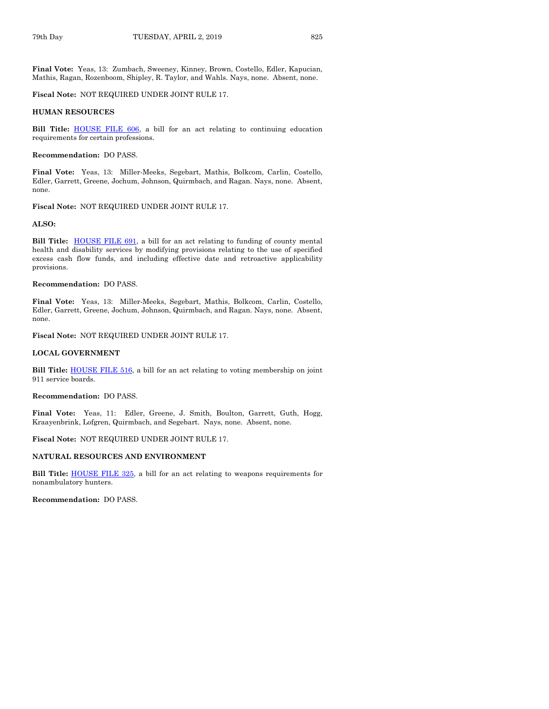**Final Vote:** Yeas, 13: Zumbach, Sweeney, Kinney, Brown, Costello, Edler, Kapucian, Mathis, Ragan, Rozenboom, Shipley, R. Taylor, and Wahls. Nays, none. Absent, none.

#### **Fiscal Note:** NOT REQUIRED UNDER JOINT RULE 17.

#### **HUMAN RESOURCES**

**Bill Title:** [HOUSE FILE 606,](https://www.legis.iowa.gov/legislation/BillBook?ga=88&ba=HF606) a bill for an act relating to continuing education requirements for certain professions.

#### **Recommendation:** DO PASS.

**Final Vote:** Yeas, 13: Miller-Meeks, Segebart, Mathis, Bolkcom, Carlin, Costello, Edler, Garrett, Greene, Jochum, Johnson, Quirmbach, and Ragan. Nays, none. Absent, none.

## **Fiscal Note:** NOT REQUIRED UNDER JOINT RULE 17.

#### **ALSO:**

**Bill Title:** [HOUSE FILE](https://www.legis.iowa.gov/legislation/BillBook?ga=88&ba=HF691) 691, a bill for an act relating to funding of county mental health and disability services by modifying provisions relating to the use of specified excess cash flow funds, and including effective date and retroactive applicability provisions.

#### **Recommendation:** DO PASS.

**Final Vote:** Yeas, 13: Miller-Meeks, Segebart, Mathis, Bolkcom, Carlin, Costello, Edler, Garrett, Greene, Jochum, Johnson, Quirmbach, and Ragan. Nays, none. Absent, none.

## **Fiscal Note:** NOT REQUIRED UNDER JOINT RULE 17.

## **LOCAL GOVERNMENT**

**Bill Title:** [HOUSE FILE](https://www.legis.iowa.gov/legislation/BillBook?ga=88&ba=HF516) 516, a bill for an act relating to voting membership on joint 911 service boards.

#### **Recommendation:** DO PASS.

**Final Vote:** Yeas, 11: Edler, Greene, J. Smith, Boulton, Garrett, Guth, Hogg, Kraayenbrink, Lofgren, Quirmbach, and Segebart. Nays, none. Absent, none.

#### **Fiscal Note:** NOT REQUIRED UNDER JOINT RULE 17.

#### **NATURAL RESOURCES AND ENVIRONMENT**

Bill Title: **[HOUSE FILE](https://www.legis.iowa.gov/legislation/BillBook?ga=88&ba=HF325) 325**, a bill for an act relating to weapons requirements for nonambulatory hunters.

**Recommendation:** DO PASS.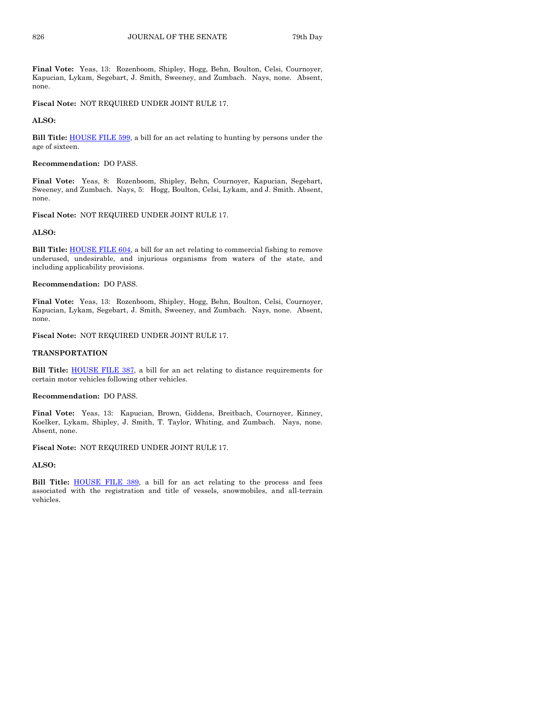**Final Vote:** Yeas, 13: Rozenboom, Shipley, Hogg, Behn, Boulton, Celsi, Cournoyer, Kapucian, Lykam, Segebart, J. Smith, Sweeney, and Zumbach. Nays, none. Absent, none.

**Fiscal Note:** NOT REQUIRED UNDER JOINT RULE 17.

#### **ALSO:**

**Bill Title:** [HOUSE FILE](https://www.legis.iowa.gov/legislation/BillBook?ga=88&ba=HF599) 599, a bill for an act relating to hunting by persons under the age of sixteen.

#### **Recommendation:** DO PASS.

**Final Vote:** Yeas, 8: Rozenboom, Shipley, Behn, Cournoyer, Kapucian, Segebart, Sweeney, and Zumbach. Nays, 5: Hogg, Boulton, Celsi, Lykam, and J. Smith. Absent, none.

#### **Fiscal Note:** NOT REQUIRED UNDER JOINT RULE 17.

## **ALSO:**

**Bill Title: [HOUSE FILE](https://www.legis.iowa.gov/legislation/BillBook?ga=88&ba=HF604) 604**, a bill for an act relating to commercial fishing to remove underused, undesirable, and injurious organisms from waters of the state, and including applicability provisions.

#### **Recommendation:** DO PASS.

**Final Vote:** Yeas, 13: Rozenboom, Shipley, Hogg, Behn, Boulton, Celsi, Cournoyer, Kapucian, Lykam, Segebart, J. Smith, Sweeney, and Zumbach. Nays, none. Absent, none.

## **Fiscal Note:** NOT REQUIRED UNDER JOINT RULE 17.

#### **TRANSPORTATION**

**Bill Title:** [HOUSE FILE](https://www.legis.iowa.gov/legislation/BillBook?ga=88&ba=HF387) 387, a bill for an act relating to distance requirements for certain motor vehicles following other vehicles.

#### **Recommendation:** DO PASS.

**Final Vote:** Yeas, 13: Kapucian, Brown, Giddens, Breitbach, Cournoyer, Kinney, Koelker, Lykam, Shipley, J. Smith, T. Taylor, Whiting, and Zumbach. Nays, none. Absent, none.

**Fiscal Note:** NOT REQUIRED UNDER JOINT RULE 17.

## **ALSO:**

**Bill Title:** [HOUSE FILE](https://www.legis.iowa.gov/legislation/BillBook?ga=88&ba=HF389) 389, a bill for an act relating to the process and fees associated with the registration and title of vessels, snowmobiles, and all-terrain vehicles.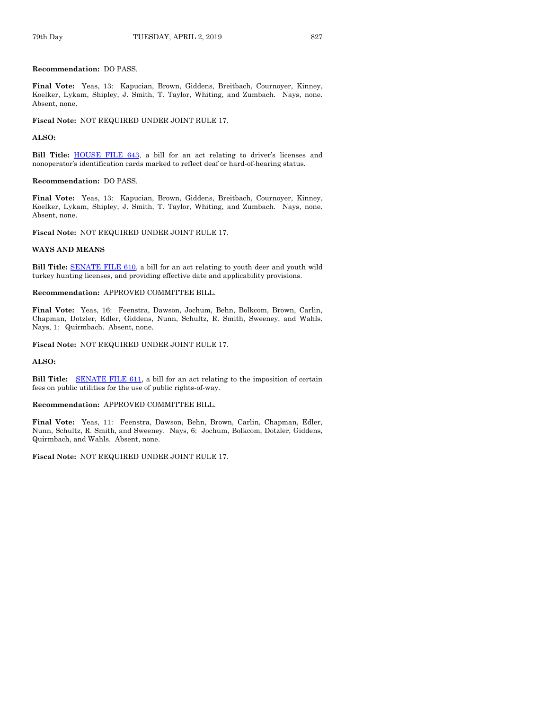## **Recommendation:** DO PASS.

**Final Vote:** Yeas, 13: Kapucian, Brown, Giddens, Breitbach, Cournoyer, Kinney, Koelker, Lykam, Shipley, J. Smith, T. Taylor, Whiting, and Zumbach. Nays, none. Absent, none.

**Fiscal Note:** NOT REQUIRED UNDER JOINT RULE 17.

#### **ALSO:**

**Bill Title:** [HOUSE FILE](https://www.legis.iowa.gov/legislation/BillBook?ga=88&ba=HF643) 643, a bill for an act relating to driver's licenses and nonoperator's identification cards marked to reflect deaf or hard-of-hearing status.

#### **Recommendation:** DO PASS.

**Final Vote:** Yeas, 13: Kapucian, Brown, Giddens, Breitbach, Cournoyer, Kinney, Koelker, Lykam, Shipley, J. Smith, T. Taylor, Whiting, and Zumbach. Nays, none. Absent, none.

**Fiscal Note:** NOT REQUIRED UNDER JOINT RULE 17.

#### **WAYS AND MEANS**

**Bill Title:** [SENATE FILE](https://www.legis.iowa.gov/legislation/BillBook?ga=88&ba=SF610) 610, a bill for an act relating to youth deer and youth wild turkey hunting licenses, and providing effective date and applicability provisions.

#### **Recommendation:** APPROVED COMMITTEE BILL.

**Final Vote:** Yeas, 16: Feenstra, Dawson, Jochum, Behn, Bolkcom, Brown, Carlin, Chapman, Dotzler, Edler, Giddens, Nunn, Schultz, R. Smith, Sweeney, and Wahls. Nays, 1: Quirmbach. Absent, none.

**Fiscal Note:** NOT REQUIRED UNDER JOINT RULE 17.

#### **ALSO:**

**Bill Title:** [SENATE FILE](https://www.legis.iowa.gov/legislation/BillBook?ga=88&ba=SF611) 611, a bill for an act relating to the imposition of certain fees on public utilities for the use of public rights-of-way.

#### **Recommendation:** APPROVED COMMITTEE BILL.

**Final Vote:** Yeas, 11: Feenstra, Dawson, Behn, Brown, Carlin, Chapman, Edler, Nunn, Schultz, R. Smith, and Sweeney. Nays, 6: Jochum, Bolkcom, Dotzler, Giddens, Quirmbach, and Wahls. Absent, none.

**Fiscal Note:** NOT REQUIRED UNDER JOINT RULE 17.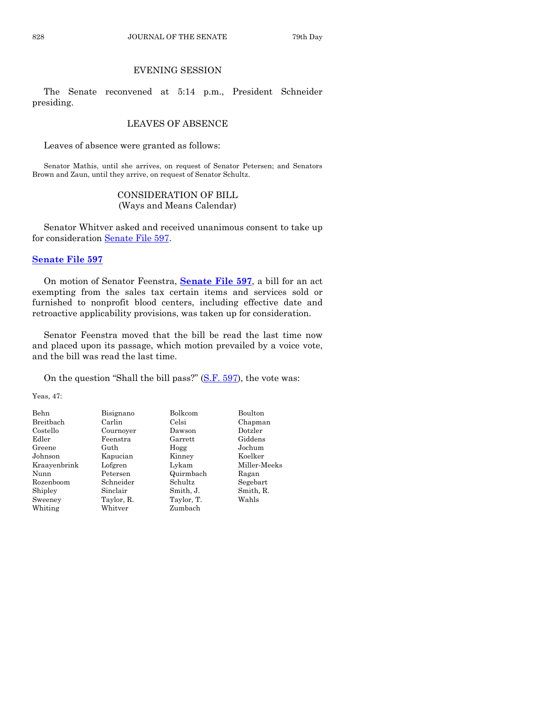## EVENING SESSION

The Senate reconvened at 5:14 p.m., President Schneider presiding.

## LEAVES OF ABSENCE

Leaves of absence were granted as follows:

Senator Mathis, until she arrives, on request of Senator Petersen; and Senators Brown and Zaun, until they arrive, on request of Senator Schultz.

## CONSIDERATION OF BILL (Ways and Means Calendar)

Senator Whitver asked and received unanimous consent to take up for consideration [Senate File 597.](https://www.legis.iowa.gov/legislation/BillBook?ga=88&ba=SF597)

## **[Senate File 597](https://www.legis.iowa.gov/legislation/BillBook?ga=88&ba=SF597)**

On motion of Senator Feenstra, **[Senate File 597](https://www.legis.iowa.gov/legislation/BillBook?ga=88&ba=SF597)**, a bill for an act exempting from the sales tax certain items and services sold or furnished to nonprofit blood centers, including effective date and retroactive applicability provisions, was taken up for consideration.

Senator Feenstra moved that the bill be read the last time now and placed upon its passage, which motion prevailed by a voice vote, and the bill was read the last time.

On the question "Shall the bill pass?" [\(S.F. 597\)](https://www.legis.iowa.gov/legislation/BillBook?ga=88&ba=SF597), the vote was:

Yeas, 47:

| <b>Behn</b>  | Bisignano  | Bolkcom        | Boulton      |
|--------------|------------|----------------|--------------|
| Breitbach    | Carlin     | Celsi          | Chapman      |
| Costello     | Cournover  | Dawson         | Dotzler      |
| Edler        | Feenstra   | $\rm{Garrett}$ | Giddens      |
| Greene       | Guth       | Hogg           | Jochum       |
| Johnson      | Kapucian   | Kinney         | Koelker      |
| Kraayenbrink | Lofgren    | Lykam          | Miller-Meeks |
| Nunn         | Petersen   | Quirmbach      | Ragan        |
| Rozenboom    | Schneider  | Schultz        | Segebart     |
| Shipley      | Sinclair   | Smith, J.      | Smith, R.    |
| Sweeney      | Taylor, R. | Taylor, T.     | Wahls        |
| Whiting      | Whitver    | Zumbach        |              |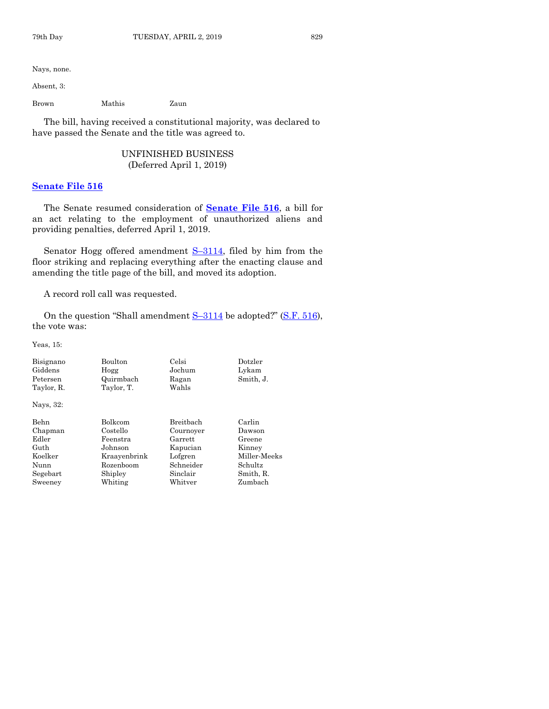Nays, none.

Absent, 3:

Brown Mathis Zaun

The bill, having received a constitutional majority, was declared to have passed the Senate and the title was agreed to.

## UNFINISHED BUSINESS (Deferred April 1, 2019)

## **[Senate File 516](https://www.legis.iowa.gov/legislation/BillBook?ga=88&ba=SF516)**

The Senate resumed consideration of **[Senate File 516](https://www.legis.iowa.gov/legislation/BillBook?ga=88&ba=SF516)**, a bill for an act relating to the employment of unauthorized aliens and providing penalties, deferred April 1, 2019.

Senator Hogg offered amendment S-[3114,](https://www.legis.iowa.gov/legislation/BillBook?ga=88&ba=S3114) filed by him from the floor striking and replacing everything after the enacting clause and amending the title page of the bill, and moved its adoption.

A record roll call was requested.

On the question "Shall amendment S-[3114](https://www.legis.iowa.gov/legislation/BillBook?ga=88&ba=S3114) be adopted?" [\(S.F. 516\)](https://www.legis.iowa.gov/legislation/BillBook?ga=88&ba=SF516), the vote was:

Yeas, 15:

| Bisignano<br>Giddens<br>Petersen<br>Taylor, R. | <b>Boulton</b><br>Hogg<br>Quirmbach<br>Taylor, T. | Celsi<br>Jochum<br>Ragan<br>Wahls | Dotzler<br>Lykam<br>Smith, J. |
|------------------------------------------------|---------------------------------------------------|-----------------------------------|-------------------------------|
| Nays, 32:                                      |                                                   |                                   |                               |
| <b>Behn</b>                                    | <b>Bolkcom</b>                                    | Breithach                         | Carlin                        |
| Chapman                                        | Costello                                          | Cournoyer                         | Dawson                        |
| Edler                                          | Feenstra                                          | Garrett                           | Greene                        |
| Guth                                           | Johnson                                           | Kapucian                          | Kinney                        |
| Koelker                                        | Kraavenbrink                                      | Lofgren                           | Miller-Meeks                  |
| Nunn                                           | Rozenboom                                         | Schneider                         | Schultz                       |
| Segebart                                       | Shipley                                           | Sinclair                          | Smith, R.                     |
| Sweeney                                        | Whiting                                           | Whitver                           | Zumbach                       |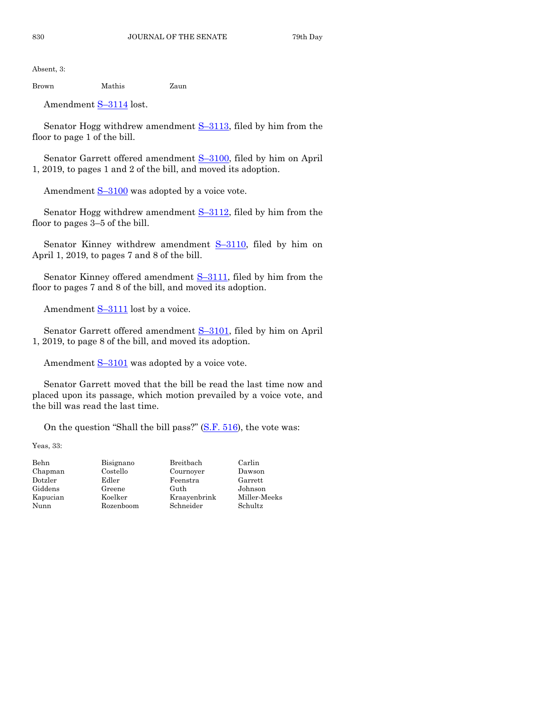Absent, 3:

Brown Mathis Zaun

Amendment S–[3114](https://www.legis.iowa.gov/legislation/BillBook?ga=88&ba=S3114) lost.

Senator Hogg withdrew amendment  $S-3113$ , filed by him from the floor to page 1 of the bill.

Senator Garrett offered amendment S–[3100,](https://www.legis.iowa.gov/legislation/BillBook?ga=88&ba=S3100) filed by him on April 1, 2019, to pages 1 and 2 of the bill, and moved its adoption.

Amendment  $S-3100$  $S-3100$  was adopted by a voice vote.

Senator Hogg withdrew amendment S-[3112,](https://www.legis.iowa.gov/legislation/BillBook?ga=88&ba=S3112) filed by him from the floor to pages 3–5 of the bill.

Senator Kinney withdrew amendment  $S-3110$ , filed by him on April 1, 2019, to pages 7 and 8 of the bill.

Senator Kinney offered amendment S-[3111,](https://www.legis.iowa.gov/legislation/BillBook?ga=88&ba=S3111) filed by him from the floor to pages 7 and 8 of the bill, and moved its adoption.

Amendment  $S-3111$  $S-3111$  lost by a voice.

Senator Garrett offered amendment S–[3101,](https://www.legis.iowa.gov/legislation/BillBook?ga=88&ba=S3101) filed by him on April 1, 2019, to page 8 of the bill, and moved its adoption.

Amendment  $S-3101$  $S-3101$  was adopted by a voice vote.

Senator Garrett moved that the bill be read the last time now and placed upon its passage, which motion prevailed by a voice vote, and the bill was read the last time.

On the question "Shall the bill pass?" [\(S.F. 516\)](https://www.legis.iowa.gov/legislation/BillBook?ga=88&ba=SF516), the vote was:

Yeas, 33:

| Behn     | Bisignano | Breitbach    | Carlin   |
|----------|-----------|--------------|----------|
| Chapman  | Costello  | Cournoyer    | Dawson   |
| Dotzler  | Edler     | Feenstra     | Garrett  |
| Giddens  | Greene    | Guth         | Johnson  |
| Kapucian | Koelker   | Kraavenbrink | Miller-M |
| Nunn     | Rozenboom | Schneider    | Schultz  |

Miller-Meeks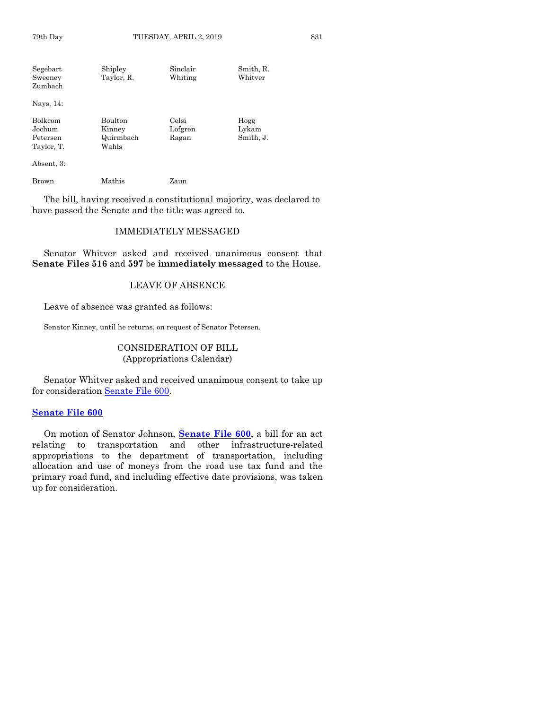| Segebart<br>Sweeney<br>Zumbach                     | Shipley<br>Taylor, R.                          | Sinclair<br>Whiting       | Smith, R.<br>Whitver       |
|----------------------------------------------------|------------------------------------------------|---------------------------|----------------------------|
| Nays, 14:                                          |                                                |                           |                            |
| <b>Bolkcom</b><br>Jochum<br>Petersen<br>Taylor, T. | <b>Boulton</b><br>Kinney<br>Quirmbach<br>Wahls | Celsi<br>Lofgren<br>Ragan | Hogg<br>Lykam<br>Smith, J. |
| Absent, 3:                                         |                                                |                           |                            |
| Brown                                              | Mathis                                         | Zaun                      |                            |

The bill, having received a constitutional majority, was declared to have passed the Senate and the title was agreed to.

## IMMEDIATELY MESSAGED

Senator Whitver asked and received unanimous consent that **Senate Files 516** and **597** be **immediately messaged** to the House.

## LEAVE OF ABSENCE

Leave of absence was granted as follows:

Senator Kinney, until he returns, on request of Senator Petersen.

## CONSIDERATION OF BILL (Appropriations Calendar)

Senator Whitver asked and received unanimous consent to take up for consideration [Senate File 600.](https://www.legis.iowa.gov/legislation/BillBook?ga=88&ba=SF600)

## **[Senate File 600](https://www.legis.iowa.gov/legislation/BillBook?ga=88&ba=SF600)**

On motion of Senator Johnson, **[Senate File 600](https://www.legis.iowa.gov/legislation/BillBook?ga=88&ba=SF600)**, a bill for an act relating to transportation and other infrastructure-related appropriations to the department of transportation, including allocation and use of moneys from the road use tax fund and the primary road fund, and including effective date provisions, was taken up for consideration.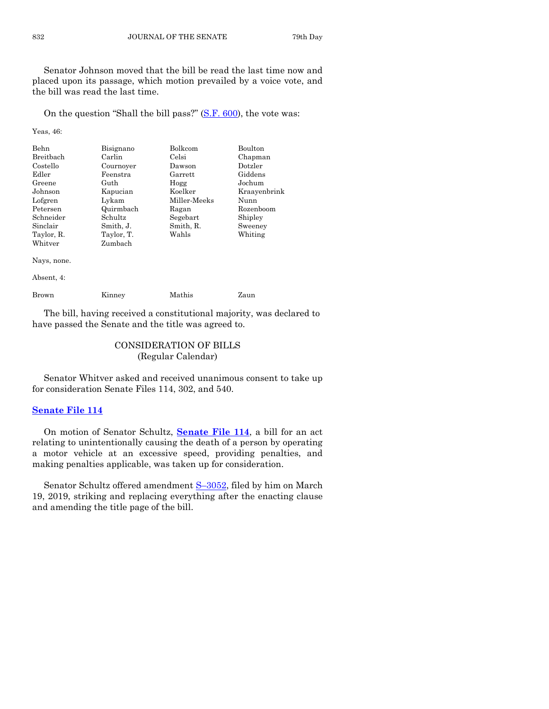Senator Johnson moved that the bill be read the last time now and placed upon its passage, which motion prevailed by a voice vote, and the bill was read the last time.

On the question "Shall the bill pass?" [\(S.F. 600\)](https://www.legis.iowa.gov/legislation/BillBook?ga=88&ba=SF600), the vote was:

Yeas, 46:

| Behn             | Bisignano  | Bolkcom      | Boulton      |
|------------------|------------|--------------|--------------|
| <b>Breitbach</b> | Carlin     | Celsi        | Chapman      |
| Costello         | Cournoyer  | Dawson       | Dotzler      |
| Edler            | Feenstra   | Garrett      | Giddens      |
| Greene           | Guth       | Hogg         | Jochum       |
| Johnson          | Kapucian   | Koelker      | Kraayenbrink |
| Lofgren          | Lvkam      | Miller-Meeks | Nunn         |
| Petersen         | Quirmbach  | Ragan        | Rozenboom    |
| Schneider        | Schultz    | Segebart     | Shipley      |
| Sinclair         | Smith, J.  | Smith, R.    | Sweeney      |
| Taylor, R.       | Taylor, T. | Wahls        | Whiting      |
| Whitver          | Zumbach    |              |              |
| Nays, none.      |            |              |              |

Absent, 4:

Brown Kinney Mathis Zaun

The bill, having received a constitutional majority, was declared to have passed the Senate and the title was agreed to.

## CONSIDERATION OF BILLS (Regular Calendar)

Senator Whitver asked and received unanimous consent to take up for consideration Senate Files 114, 302, and 540.

## **[Senate File 114](https://www.legis.iowa.gov/legislation/BillBook?ga=88&ba=SF114)**

On motion of Senator Schultz, **[Senate File 114](https://www.legis.iowa.gov/legislation/BillBook?ga=88&ba=SF114)**, a bill for an act relating to unintentionally causing the death of a person by operating a motor vehicle at an excessive speed, providing penalties, and making penalties applicable, was taken up for consideration.

Senator Schultz offered amendment S-[3052,](https://www.legis.iowa.gov/legislation/BillBook?ga=88&ba=S3052) filed by him on March 19, 2019, striking and replacing everything after the enacting clause and amending the title page of the bill.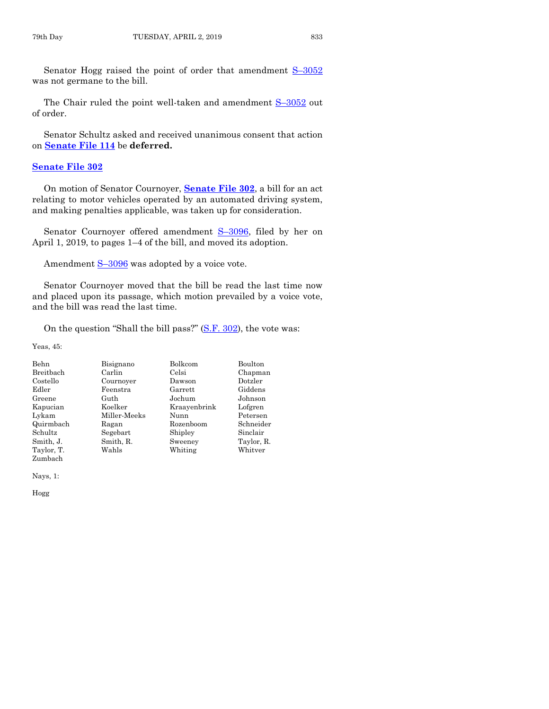Senator Hogg raised the point of order that amendment S–[3052](https://www.legis.iowa.gov/legislation/BillBook?ga=88&ba=S3052) was not germane to the bill.

The Chair ruled the point well-taken and amendment S-[3052](https://www.legis.iowa.gov/legislation/BillBook?ga=88&ba=S3052) out of order.

Senator Schultz asked and received unanimous consent that action on **[Senate File 114](https://www.legis.iowa.gov/legislation/BillBook?ga=88&ba=SF114)** be **deferred.**

## **[Senate File 302](https://www.legis.iowa.gov/legislation/BillBook?ga=88&ba=SF302)**

On motion of Senator Cournoyer, **[Senate File 302](https://www.legis.iowa.gov/legislation/BillBook?ga=88&ba=SF302)**, a bill for an act relating to motor vehicles operated by an automated driving system, and making penalties applicable, was taken up for consideration.

Senator Cournoyer offered amendment S-[3096,](https://www.legis.iowa.gov/legislation/BillBook?ga=88&ba=S3096) filed by her on April 1, 2019, to pages 1–4 of the bill, and moved its adoption.

Amendment  $S-3096$  $S-3096$  was adopted by a voice vote.

Senator Cournoyer moved that the bill be read the last time now and placed upon its passage, which motion prevailed by a voice vote, and the bill was read the last time.

On the question "Shall the bill pass?" [\(S.F. 302\)](https://www.legis.iowa.gov/legislation/BillBook?ga=88&ba=SF302), the vote was:

Yeas, 45:

| Behn       | Bisignano    | Bolkcom      | Boulton    |
|------------|--------------|--------------|------------|
| Breitbach  | Carlin       | Celsi        | Chapman    |
| Costello   | Cournover    | Dawson       | Dotzler    |
| Edler      | Feenstra     | Garrett      | Giddens    |
| Greene     | Guth         | Jochum       | Johnson    |
| Kapucian   | Koelker      | Kraavenbrink | Lofgren    |
| Lykam      | Miller-Meeks | Nunn         | Petersen   |
| Quirmbach  | Ragan        | Rozenboom    | Schneider  |
| Schultz    | Segebart     | Shipley      | Sinclair   |
| Smith, J.  | Smith, R.    | Sweeney      | Taylor, R. |
| Taylor, T. | Wahls        | Whiting      | Whitver    |
| Zumbach    |              |              |            |

Nays, 1:

Hogg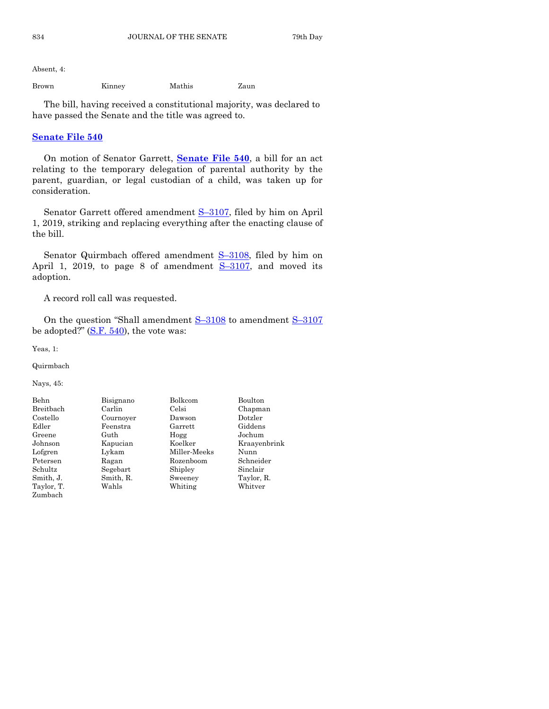Absent, 4:

Brown Kinney Mathis Zaun

The bill, having received a constitutional majority, was declared to have passed the Senate and the title was agreed to.

## **[Senate File 540](https://www.legis.iowa.gov/legislation/BillBook?ga=88&ba=SF540)**

On motion of Senator Garrett, **[Senate File 540](https://www.legis.iowa.gov/legislation/BillBook?ga=88&ba=SF540)**, a bill for an act relating to the temporary delegation of parental authority by the parent, guardian, or legal custodian of a child, was taken up for consideration.

Senator Garrett offered amendment S–[3107,](https://www.legis.iowa.gov/legislation/BillBook?ga=88&ba=S3107) filed by him on April 1, 2019, striking and replacing everything after the enacting clause of the bill.

Senator Quirmbach offered amendment S-[3108,](https://www.legis.iowa.gov/legislation/BillBook?ga=88&ba=S3108) filed by him on April 1, 2019, to page 8 of amendment  $S-3107$ , and moved its adoption.

A record roll call was requested.

On the question "Shall amendment  $S-3108$  $S-3108$  to amendment  $S-3107$  $S-3107$ be adopted?"  $(S.F. 540)$ , the vote was:

Miller-Meeks

Yeas, 1:

Quirmbach

Nays, 45:

| Behn       |
|------------|
| Breithach  |
| Costello   |
| Edler      |
| Greene     |
| Johnson    |
| Lofgren    |
| Petersen   |
| Schultz    |
| Smith, J.  |
| Taylor, T. |
| Zumbach    |

Cournoyer Dawson Dotzler

Bisignano Bolkcom Boulton Carlin Celsi Chapman Feenstra Garrett Giddens Guth Hogg Jochum Kapucian Koelker Kraayenbrink<br>Lykam Miller-Meeks Nunn Ragan Rozenboom Schneider Segebart Shipley Sinclair Smith, R. Sweeney Taylor, R. Wahls Whiting Whitver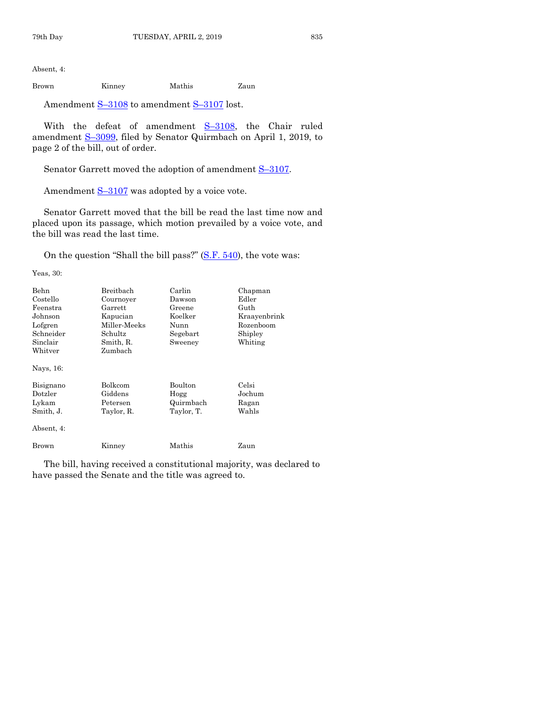Absent, 4:

Brown Kinney Mathis Zaun

Amendment S-[3108](https://www.legis.iowa.gov/legislation/BillBook?ga=88&ba=S3108) to amendment S-[3107](https://www.legis.iowa.gov/legislation/BillBook?ga=88&ba=S3107) lost.

With the defeat of amendment  $S=3108$ , the Chair ruled amendment S–[3099,](https://www.legis.iowa.gov/legislation/BillBook?ga=88&ba=S3099) filed by Senator Quirmbach on April 1, 2019, to page 2 of the bill, out of order.

Senator Garrett moved the adoption of amendment S-[3107.](https://www.legis.iowa.gov/legislation/BillBook?ga=88&ba=S3107)

Amendment  $S-3107$  $S-3107$  was adopted by a voice vote.

Senator Garrett moved that the bill be read the last time now and placed upon its passage, which motion prevailed by a voice vote, and the bill was read the last time.

On the question "Shall the bill pass?"  $(S.F. 540)$ , the vote was:

Yeas, 30:

| Behn<br>Costello<br>Feenstra<br>Johnson<br>Lofgren<br>Schneider<br>Sinclair<br>Whitver | Breitbach<br>Cournoyer<br>Garrett<br>Kapucian<br>Miller-Meeks<br>Schultz.<br>Smith, R.<br>Zumbach | Carlin<br>Dawson<br>Greene<br>Koelker<br>Nunn<br>Segebart<br>Sweeney | Chapman<br>Edler<br>Guth<br>Kraayenbrink<br>Rozenboom<br>Shipley<br>Whiting |
|----------------------------------------------------------------------------------------|---------------------------------------------------------------------------------------------------|----------------------------------------------------------------------|-----------------------------------------------------------------------------|
| Nays, 16:                                                                              |                                                                                                   |                                                                      |                                                                             |
| Bisignano<br>Dotzler<br>Lykam<br>Smith, J.                                             | <b>Bolkcom</b><br>Giddens<br>Petersen<br>Taylor, R.                                               | Boulton<br>Hogg<br>Quirmbach<br>Taylor, T.                           | Celsi<br>Jochum<br>Ragan<br>Wahls                                           |
| Absent, 4:                                                                             |                                                                                                   |                                                                      |                                                                             |
| Brown                                                                                  | Kinney                                                                                            | Mathis                                                               | Zaun                                                                        |

The bill, having received a constitutional majority, was declared to have passed the Senate and the title was agreed to.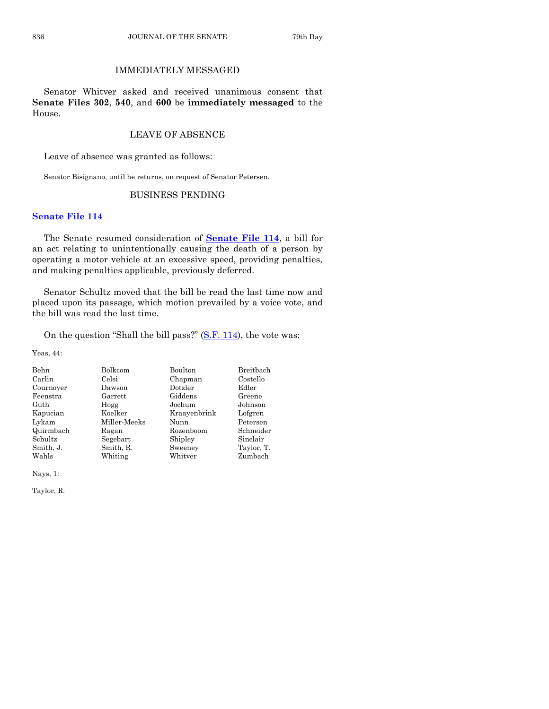## IMMEDIATELY MESSAGED

Senator Whitver asked and received unanimous consent that **Senate Files 302**, **540**, and **600** be **immediately messaged** to the House.

## LEAVE OF ABSENCE

Leave of absence was granted as follows:

Senator Bisignano, until he returns, on request of Senator Petersen.

## BUSINESS PENDING

## **[Senate File 114](https://www.legis.iowa.gov/legislation/BillBook?ga=88&ba=SF114)**

The Senate resumed consideration of **[Senate File 114](https://www.legis.iowa.gov/legislation/BillBook?ga=88&ba=SF114)**, a bill for an act relating to unintentionally causing the death of a person by operating a motor vehicle at an excessive speed, providing penalties, and making penalties applicable, previously deferred.

Senator Schultz moved that the bill be read the last time now and placed upon its passage, which motion prevailed by a voice vote, and the bill was read the last time.

On the question "Shall the bill pass?"  $(S.F. 114)$  $(S.F. 114)$ , the vote was:

Yeas, 44:

| Bolkcom      | Boulton      | Breitbach  |
|--------------|--------------|------------|
| Celsi        | Chapman      | Costello   |
| Dawson       | Dotzler      | Edler      |
| Garrett      | Giddens      | Greene     |
| Hogg         | Jochum       | Johnson    |
| Koelker      | Kraayenbrink | Lofgren    |
| Miller-Meeks | Nunn         | Petersen   |
| Ragan        | Rozenboom    | Schneider  |
| Segebart     | Shipley      | Sinclair   |
| Smith, R.    | Sweeney      | Taylor, T. |
| Whiting      | Whitver      | Zumbach    |
|              |              |            |

Nays, 1:

Taylor, R.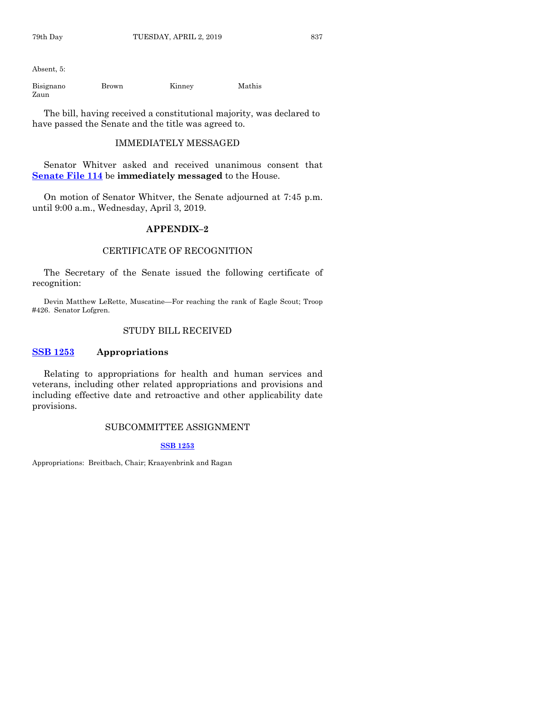Absent, 5:

Bisignano Brown Kinney Mathis Zaun

The bill, having received a constitutional majority, was declared to have passed the Senate and the title was agreed to.

## IMMEDIATELY MESSAGED

Senator Whitver asked and received unanimous consent that **[Senate File 114](https://www.legis.iowa.gov/legislation/BillBook?ga=88&ba=SF114)** be **immediately messaged** to the House.

On motion of Senator Whitver, the Senate adjourned at 7:45 p.m. until 9:00 a.m., Wednesday, April 3, 2019.

## **APPENDIX–2**

## CERTIFICATE OF RECOGNITION

The Secretary of the Senate issued the following certificate of recognition:

Devin Matthew LeRette, Muscatine—For reaching the rank of Eagle Scout; Troop #426. Senator Lofgren.

## STUDY BILL RECEIVED

## **[SSB 1253](https://www.legis.iowa.gov/legislation/BillBook?ga=88&ba=SSB1253) Appropriations**

Relating to appropriations for health and human services and veterans, including other related appropriations and provisions and including effective date and retroactive and other applicability date provisions.

## SUBCOMMITTEE ASSIGNMENT

## **[SSB 1253](https://www.legis.iowa.gov/legislation/BillBook?ga=88&ba=SSB1253)**

Appropriations: Breitbach, Chair; Kraayenbrink and Ragan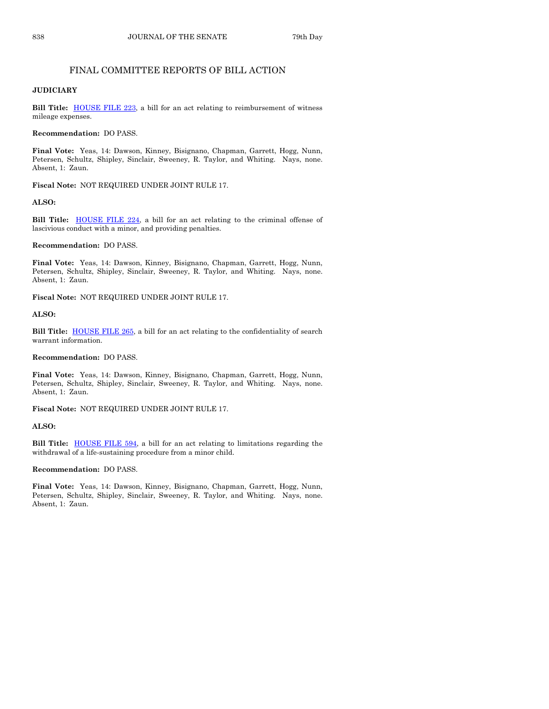## FINAL COMMITTEE REPORTS OF BILL ACTION

## **JUDICIARY**

Bill Title: **[HOUSE FILE](https://www.legis.iowa.gov/legislation/BillBook?ga=88&ba=HF223) 223**, a bill for an act relating to reimbursement of witness mileage expenses.

#### **Recommendation:** DO PASS.

**Final Vote:** Yeas, 14: Dawson, Kinney, Bisignano, Chapman, Garrett, Hogg, Nunn, Petersen, Schultz, Shipley, Sinclair, Sweeney, R. Taylor, and Whiting. Nays, none. Absent, 1: Zaun.

**Fiscal Note:** NOT REQUIRED UNDER JOINT RULE 17.

## **ALSO:**

**Bill Title: [HOUSE FILE](https://www.legis.iowa.gov/legislation/BillBook?ga=88&ba=HF224) 224**, a bill for an act relating to the criminal offense of lascivious conduct with a minor, and providing penalties.

**Recommendation:** DO PASS.

**Final Vote:** Yeas, 14: Dawson, Kinney, Bisignano, Chapman, Garrett, Hogg, Nunn, Petersen, Schultz, Shipley, Sinclair, Sweeney, R. Taylor, and Whiting. Nays, none. Absent, 1: Zaun.

**Fiscal Note:** NOT REQUIRED UNDER JOINT RULE 17.

## **ALSO:**

**Bill Title:** [HOUSE FILE](https://www.legis.iowa.gov/legislation/BillBook?ga=88&ba=HF265) 265, a bill for an act relating to the confidentiality of search warrant information.

**Recommendation:** DO PASS.

**Final Vote:** Yeas, 14: Dawson, Kinney, Bisignano, Chapman, Garrett, Hogg, Nunn, Petersen, Schultz, Shipley, Sinclair, Sweeney, R. Taylor, and Whiting. Nays, none. Absent, 1: Zaun.

**Fiscal Note:** NOT REQUIRED UNDER JOINT RULE 17.

#### **ALSO:**

**Bill Title:** [HOUSE FILE](https://www.legis.iowa.gov/legislation/BillBook?ga=88&ba=HF594) 594, a bill for an act relating to limitations regarding the withdrawal of a life-sustaining procedure from a minor child.

#### **Recommendation:** DO PASS.

**Final Vote:** Yeas, 14: Dawson, Kinney, Bisignano, Chapman, Garrett, Hogg, Nunn, Petersen, Schultz, Shipley, Sinclair, Sweeney, R. Taylor, and Whiting. Nays, none. Absent, 1: Zaun.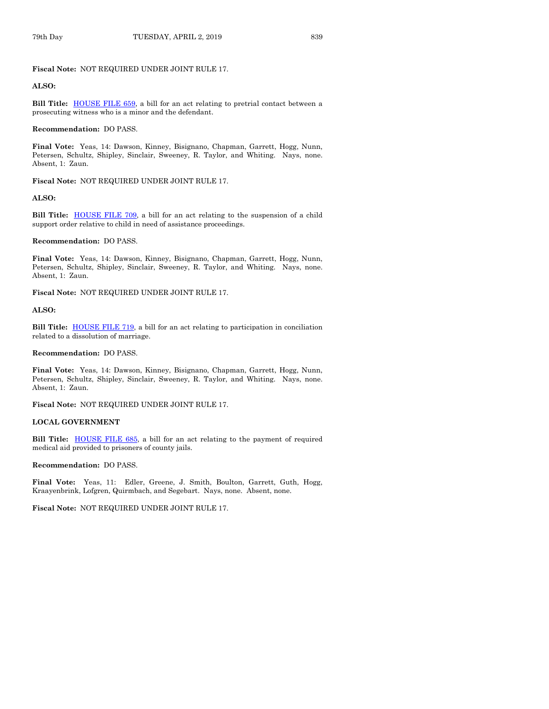## **Fiscal Note:** NOT REQUIRED UNDER JOINT RULE 17.

## **ALSO:**

Bill Title: **[HOUSE FILE](https://www.legis.iowa.gov/legislation/BillBook?ga=88&ba=HF659) 659**, a bill for an act relating to pretrial contact between a prosecuting witness who is a minor and the defendant.

#### **Recommendation:** DO PASS.

**Final Vote:** Yeas, 14: Dawson, Kinney, Bisignano, Chapman, Garrett, Hogg, Nunn, Petersen, Schultz, Shipley, Sinclair, Sweeney, R. Taylor, and Whiting. Nays, none. Absent, 1: Zaun.

**Fiscal Note:** NOT REQUIRED UNDER JOINT RULE 17.

#### **ALSO:**

**Bill Title:** [HOUSE FILE](https://www.legis.iowa.gov/legislation/BillBook?ga=88&ba=HF709) 709, a bill for an act relating to the suspension of a child support order relative to child in need of assistance proceedings.

#### **Recommendation:** DO PASS.

**Final Vote:** Yeas, 14: Dawson, Kinney, Bisignano, Chapman, Garrett, Hogg, Nunn, Petersen, Schultz, Shipley, Sinclair, Sweeney, R. Taylor, and Whiting. Nays, none. Absent, 1: Zaun.

**Fiscal Note:** NOT REQUIRED UNDER JOINT RULE 17.

## **ALSO:**

**Bill Title:** [HOUSE FILE](https://www.legis.iowa.gov/legislation/BillBook?ga=88&ba=HF719) 719, a bill for an act relating to participation in conciliation related to a dissolution of marriage.

## **Recommendation:** DO PASS.

**Final Vote:** Yeas, 14: Dawson, Kinney, Bisignano, Chapman, Garrett, Hogg, Nunn, Petersen, Schultz, Shipley, Sinclair, Sweeney, R. Taylor, and Whiting. Nays, none. Absent, 1: Zaun.

**Fiscal Note:** NOT REQUIRED UNDER JOINT RULE 17.

## **LOCAL GOVERNMENT**

**Bill Title:** [HOUSE FILE](https://www.legis.iowa.gov/legislation/BillBook?ga=88&ba=HF685) 685, a bill for an act relating to the payment of required medical aid provided to prisoners of county jails.

#### **Recommendation:** DO PASS.

**Final Vote:** Yeas, 11: Edler, Greene, J. Smith, Boulton, Garrett, Guth, Hogg, Kraayenbrink, Lofgren, Quirmbach, and Segebart. Nays, none. Absent, none.

**Fiscal Note:** NOT REQUIRED UNDER JOINT RULE 17.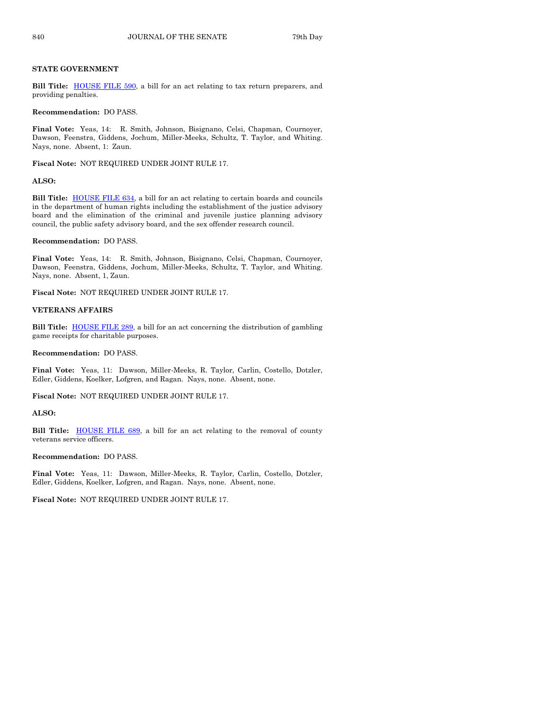## **STATE GOVERNMENT**

Bill Title: **[HOUSE FILE](https://www.legis.iowa.gov/legislation/BillBook?ga=88&ba=HF590) 590**, a bill for an act relating to tax return preparers, and providing penalties.

#### **Recommendation:** DO PASS.

**Final Vote:** Yeas, 14: R. Smith, Johnson, Bisignano, Celsi, Chapman, Cournoyer, Dawson, Feenstra, Giddens, Jochum, Miller-Meeks, Schultz, T. Taylor, and Whiting. Nays, none. Absent, 1: Zaun.

**Fiscal Note:** NOT REQUIRED UNDER JOINT RULE 17.

#### **ALSO:**

**Bill Title:** [HOUSE FILE](https://www.legis.iowa.gov/legislation/BillBook?ga=88&ba=HF634) 634, a bill for an act relating to certain boards and councils in the department of human rights including the establishment of the justice advisory board and the elimination of the criminal and juvenile justice planning advisory council, the public safety advisory board, and the sex offender research council.

#### **Recommendation:** DO PASS.

**Final Vote:** Yeas, 14: R. Smith, Johnson, Bisignano, Celsi, Chapman, Cournoyer, Dawson, Feenstra, Giddens, Jochum, Miller-Meeks, Schultz, T. Taylor, and Whiting. Nays, none. Absent, 1, Zaun.

**Fiscal Note:** NOT REQUIRED UNDER JOINT RULE 17.

## **VETERANS AFFAIRS**

**Bill Title:** [HOUSE FILE](https://www.legis.iowa.gov/legislation/BillBook?ga=88&ba=HF289) 289, a bill for an act concerning the distribution of gambling game receipts for charitable purposes.

**Recommendation:** DO PASS.

**Final Vote:** Yeas, 11: Dawson, Miller-Meeks, R. Taylor, Carlin, Costello, Dotzler, Edler, Giddens, Koelker, Lofgren, and Ragan. Nays, none. Absent, none.

**Fiscal Note:** NOT REQUIRED UNDER JOINT RULE 17.

#### **ALSO:**

**Bill Title:** [HOUSE FILE](https://www.legis.iowa.gov/legislation/BillBook?ga=88&ba=HF689) 689, a bill for an act relating to the removal of county veterans service officers.

## **Recommendation:** DO PASS.

**Final Vote:** Yeas, 11: Dawson, Miller-Meeks, R. Taylor, Carlin, Costello, Dotzler, Edler, Giddens, Koelker, Lofgren, and Ragan. Nays, none. Absent, none.

**Fiscal Note:** NOT REQUIRED UNDER JOINT RULE 17.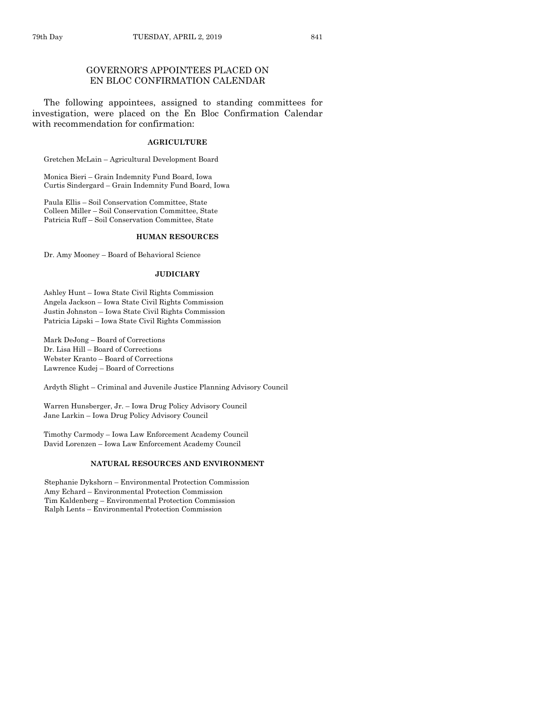## GOVERNOR'S APPOINTEES PLACED ON EN BLOC CONFIRMATION CALENDAR

The following appointees, assigned to standing committees for investigation, were placed on the En Bloc Confirmation Calendar with recommendation for confirmation:

## **AGRICULTURE**

Gretchen McLain – Agricultural Development Board

Monica Bieri – Grain Indemnity Fund Board, Iowa Curtis Sindergard – Grain Indemnity Fund Board, Iowa

Paula Ellis – Soil Conservation Committee, State Colleen Miller – Soil Conservation Committee, State Patricia Ruff – Soil Conservation Committee, State

## **HUMAN RESOURCES**

Dr. Amy Mooney – Board of Behavioral Science

#### **JUDICIARY**

Ashley Hunt – Iowa State Civil Rights Commission Angela Jackson – Iowa State Civil Rights Commission Justin Johnston – Iowa State Civil Rights Commission Patricia Lipski – Iowa State Civil Rights Commission

Mark DeJong – Board of Corrections Dr. Lisa Hill – Board of Corrections Webster Kranto – Board of Corrections Lawrence Kudej – Board of Corrections

Ardyth Slight – Criminal and Juvenile Justice Planning Advisory Council

Warren Hunsberger, Jr. – Iowa Drug Policy Advisory Council Jane Larkin – Iowa Drug Policy Advisory Council

Timothy Carmody – Iowa Law Enforcement Academy Council David Lorenzen – Iowa Law Enforcement Academy Council

## **NATURAL RESOURCES AND ENVIRONMENT**

Stephanie Dykshorn – Environmental Protection Commission Amy Echard – Environmental Protection Commission Tim Kaldenberg – Environmental Protection Commission Ralph Lents – Environmental Protection Commission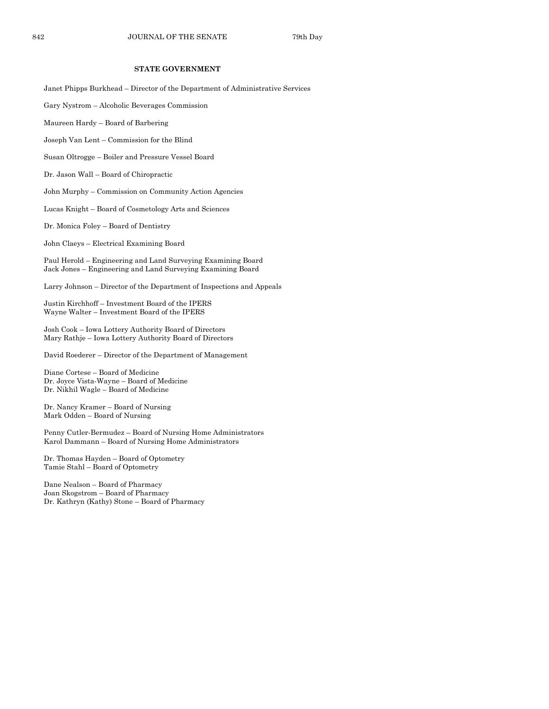## **STATE GOVERNMENT**

Janet Phipps Burkhead – Director of the Department of Administrative Services

- Gary Nystrom Alcoholic Beverages Commission
- Maureen Hardy Board of Barbering
- Joseph Van Lent Commission for the Blind
- Susan Oltrogge Boiler and Pressure Vessel Board
- Dr. Jason Wall Board of Chiropractic
- John Murphy Commission on Community Action Agencies
- Lucas Knight Board of Cosmetology Arts and Sciences
- Dr. Monica Foley Board of Dentistry
- John Claeys Electrical Examining Board

Paul Herold – Engineering and Land Surveying Examining Board Jack Jones – Engineering and Land Surveying Examining Board

- Larry Johnson Director of the Department of Inspections and Appeals
- Justin Kirchhoff Investment Board of the IPERS Wayne Walter – Investment Board of the IPERS
- Josh Cook Iowa Lottery Authority Board of Directors Mary Rathje – Iowa Lottery Authority Board of Directors
- David Roederer Director of the Department of Management
- Diane Cortese Board of Medicine Dr. Joyce Vista-Wayne – Board of Medicine Dr. Nikhil Wagle – Board of Medicine
- Dr. Nancy Kramer Board of Nursing Mark Odden – Board of Nursing
- Penny Cutler-Bermudez Board of Nursing Home Administrators Karol Dammann – Board of Nursing Home Administrators
- Dr. Thomas Hayden Board of Optometry Tamie Stahl – Board of Optometry
- Dane Nealson Board of Pharmacy Joan Skogstrom – Board of Pharmacy Dr. Kathryn (Kathy) Stone – Board of Pharmacy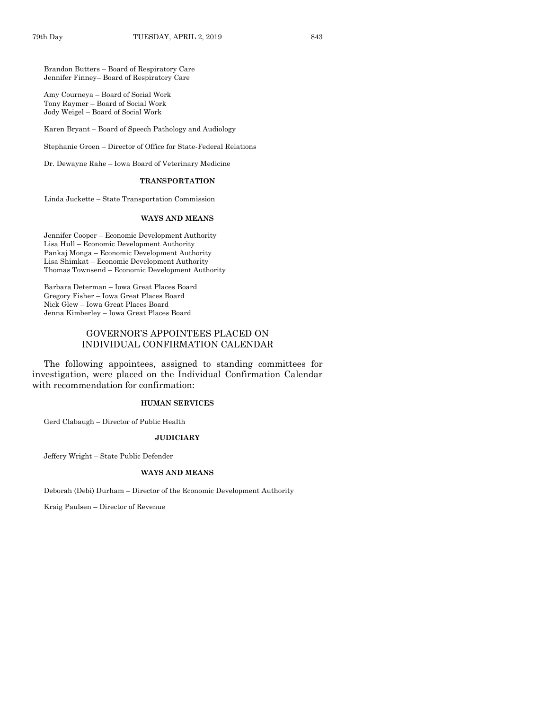Brandon Butters – Board of Respiratory Care Jennifer Finney– Board of Respiratory Care

Amy Courneya – Board of Social Work Tony Raymer – Board of Social Work Jody Weigel – Board of Social Work

Karen Bryant – Board of Speech Pathology and Audiology

Stephanie Groen – Director of Office for State-Federal Relations

Dr. Dewayne Rahe – Iowa Board of Veterinary Medicine

## **TRANSPORTATION**

Linda Juckette – State Transportation Commission

## **WAYS AND MEANS**

Jennifer Cooper – Economic Development Authority Lisa Hull – Economic Development Authority Pankaj Monga – Economic Development Authority Lisa Shimkat – Economic Development Authority Thomas Townsend – Economic Development Authority

Barbara Determan – Iowa Great Places Board Gregory Fisher – Iowa Great Places Board Nick Glew – Iowa Great Places Board Jenna Kimberley – Iowa Great Places Board

## GOVERNOR'S APPOINTEES PLACED ON INDIVIDUAL CONFIRMATION CALENDAR

The following appointees, assigned to standing committees for investigation, were placed on the Individual Confirmation Calendar with recommendation for confirmation:

## **HUMAN SERVICES**

Gerd Clabaugh – Director of Public Health

## **JUDICIARY**

Jeffery Wright – State Public Defender

## **WAYS AND MEANS**

Deborah (Debi) Durham – Director of the Economic Development Authority

Kraig Paulsen – Director of Revenue